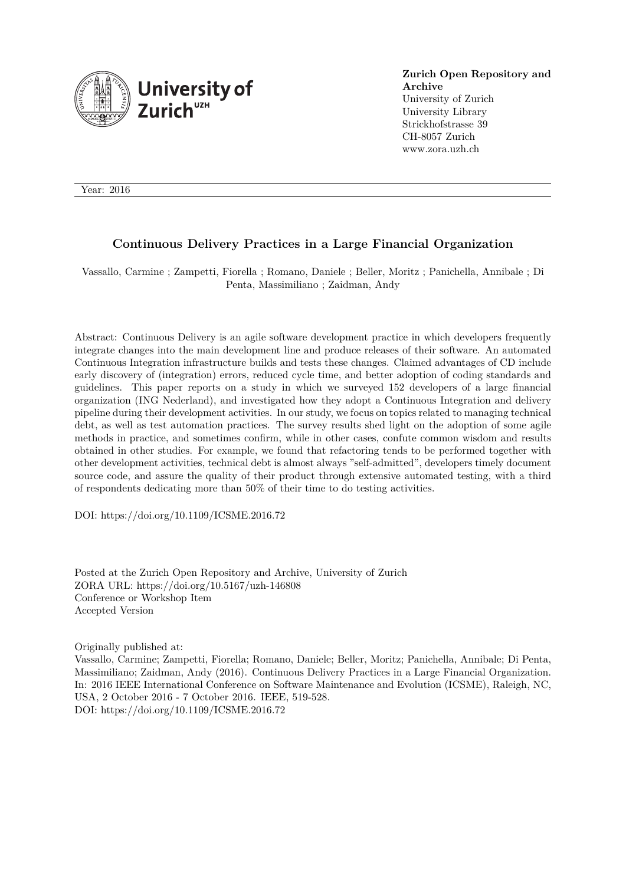

**Zurich Open Repository and Archive** University of Zurich University Library Strickhofstrasse 39 CH-8057 Zurich www.zora.uzh.ch

Year: 2016

# **Continuous Delivery Practices in a Large Financial Organization**

Vassallo, Carmine ; Zampetti, Fiorella ; Romano, Daniele ; Beller, Moritz ; Panichella, Annibale ; Di Penta, Massimiliano ; Zaidman, Andy

Abstract: Continuous Delivery is an agile software development practice in which developers frequently integrate changes into the main development line and produce releases of their software. An automated Continuous Integration infrastructure builds and tests these changes. Claimed advantages of CD include early discovery of (integration) errors, reduced cycle time, and better adoption of coding standards and guidelines. This paper reports on a study in which we surveyed 152 developers of a large financial organization (ING Nederland), and investigated how they adopt a Continuous Integration and delivery pipeline during their development activities. In our study, we focus on topics related to managing technical debt, as well as test automation practices. The survey results shed light on the adoption of some agile methods in practice, and sometimes confirm, while in other cases, confute common wisdom and results obtained in other studies. For example, we found that refactoring tends to be performed together with other development activities, technical debt is almost always "self-admitted", developers timely document source code, and assure the quality of their product through extensive automated testing, with a third of respondents dedicating more than 50% of their time to do testing activities.

DOI: https://doi.org/10.1109/ICSME.2016.72

Posted at the Zurich Open Repository and Archive, University of Zurich ZORA URL: https://doi.org/10.5167/uzh-146808 Conference or Workshop Item Accepted Version

Originally published at:

Vassallo, Carmine; Zampetti, Fiorella; Romano, Daniele; Beller, Moritz; Panichella, Annibale; Di Penta, Massimiliano; Zaidman, Andy (2016). Continuous Delivery Practices in a Large Financial Organization. In: 2016 IEEE International Conference on Software Maintenance and Evolution (ICSME), Raleigh, NC, USA, 2 October 2016 - 7 October 2016. IEEE, 519-528. DOI: https://doi.org/10.1109/ICSME.2016.72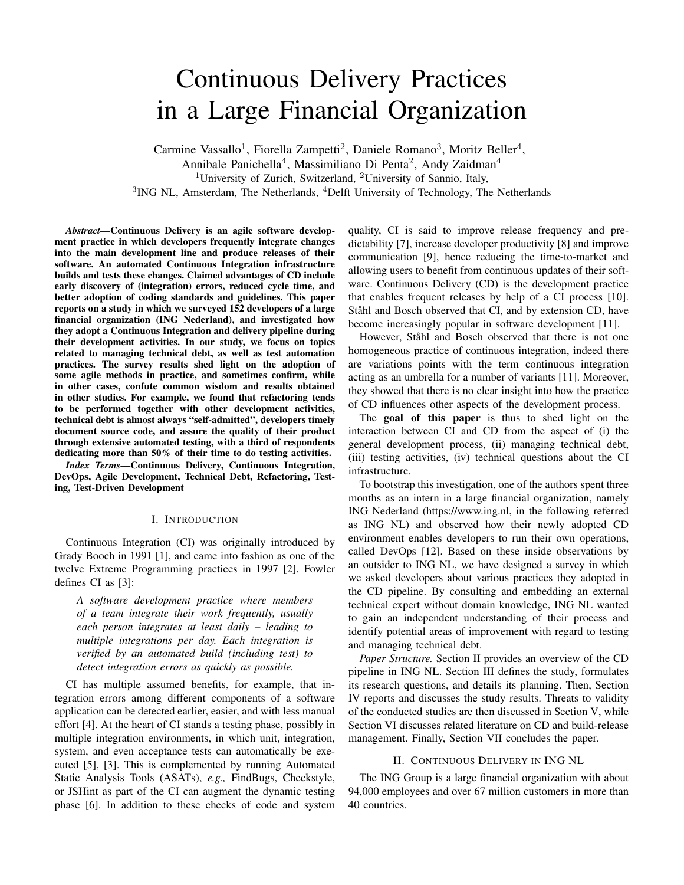# Continuous Delivery Practices in a Large Financial Organization

Carmine Vassallo<sup>1</sup>, Fiorella Zampetti<sup>2</sup>, Daniele Romano<sup>3</sup>, Moritz Beller<sup>4</sup>, Annibale Panichella<sup>4</sup>, Massimiliano Di Penta<sup>2</sup>, Andy Zaidman<sup>4</sup> <sup>1</sup>University of Zurich, Switzerland, <sup>2</sup>University of Sannio, Italy, <sup>3</sup>ING NL, Amsterdam, The Netherlands, <sup>4</sup>Delft University of Technology, The Netherlands

*Abstract*—Continuous Delivery is an agile software development practice in which developers frequently integrate changes into the main development line and produce releases of their software. An automated Continuous Integration infrastructure builds and tests these changes. Claimed advantages of CD include early discovery of (integration) errors, reduced cycle time, and better adoption of coding standards and guidelines. This paper reports on a study in which we surveyed 152 developers of a large financial organization (ING Nederland), and investigated how they adopt a Continuous Integration and delivery pipeline during their development activities. In our study, we focus on topics related to managing technical debt, as well as test automation practices. The survey results shed light on the adoption of some agile methods in practice, and sometimes confirm, while in other cases, confute common wisdom and results obtained in other studies. For example, we found that refactoring tends to be performed together with other development activities, technical debt is almost always "self-admitted", developers timely document source code, and assure the quality of their product through extensive automated testing, with a third of respondents dedicating more than 50% of their time to do testing activities.

*Index Terms*—Continuous Delivery, Continuous Integration, DevOps, Agile Development, Technical Debt, Refactoring, Testing, Test-Driven Development

## I. INTRODUCTION

Continuous Integration (CI) was originally introduced by Grady Booch in 1991 [1], and came into fashion as one of the twelve Extreme Programming practices in 1997 [2]. Fowler defines CI as [3]:

*A software development practice where members of a team integrate their work frequently, usually each person integrates at least daily – leading to multiple integrations per day. Each integration is verified by an automated build (including test) to detect integration errors as quickly as possible.*

CI has multiple assumed benefits, for example, that integration errors among different components of a software application can be detected earlier, easier, and with less manual effort [4]. At the heart of CI stands a testing phase, possibly in multiple integration environments, in which unit, integration, system, and even acceptance tests can automatically be executed [5], [3]. This is complemented by running Automated Static Analysis Tools (ASATs), *e.g.,* FindBugs, Checkstyle, or JSHint as part of the CI can augment the dynamic testing phase [6]. In addition to these checks of code and system quality, CI is said to improve release frequency and predictability [7], increase developer productivity [8] and improve communication [9], hence reducing the time-to-market and allowing users to benefit from continuous updates of their software. Continuous Delivery (CD) is the development practice that enables frequent releases by help of a CI process [10]. Ståhl and Bosch observed that CI, and by extension CD, have become increasingly popular in software development [11].

However, Ståhl and Bosch observed that there is not one homogeneous practice of continuous integration, indeed there are variations points with the term continuous integration acting as an umbrella for a number of variants [11]. Moreover, they showed that there is no clear insight into how the practice of CD influences other aspects of the development process.

The goal of this paper is thus to shed light on the interaction between CI and CD from the aspect of (i) the general development process, (ii) managing technical debt, (iii) testing activities, (iv) technical questions about the CI infrastructure.

To bootstrap this investigation, one of the authors spent three months as an intern in a large financial organization, namely ING Nederland (https://www.ing.nl, in the following referred as ING NL) and observed how their newly adopted CD environment enables developers to run their own operations, called DevOps [12]. Based on these inside observations by an outsider to ING NL, we have designed a survey in which we asked developers about various practices they adopted in the CD pipeline. By consulting and embedding an external technical expert without domain knowledge, ING NL wanted to gain an independent understanding of their process and identify potential areas of improvement with regard to testing and managing technical debt.

*Paper Structure.* Section II provides an overview of the CD pipeline in ING NL. Section III defines the study, formulates its research questions, and details its planning. Then, Section IV reports and discusses the study results. Threats to validity of the conducted studies are then discussed in Section V, while Section VI discusses related literature on CD and build-release management. Finally, Section VII concludes the paper.

## II. CONTINUOUS DELIVERY IN ING NL

The ING Group is a large financial organization with about 94,000 employees and over 67 million customers in more than 40 countries.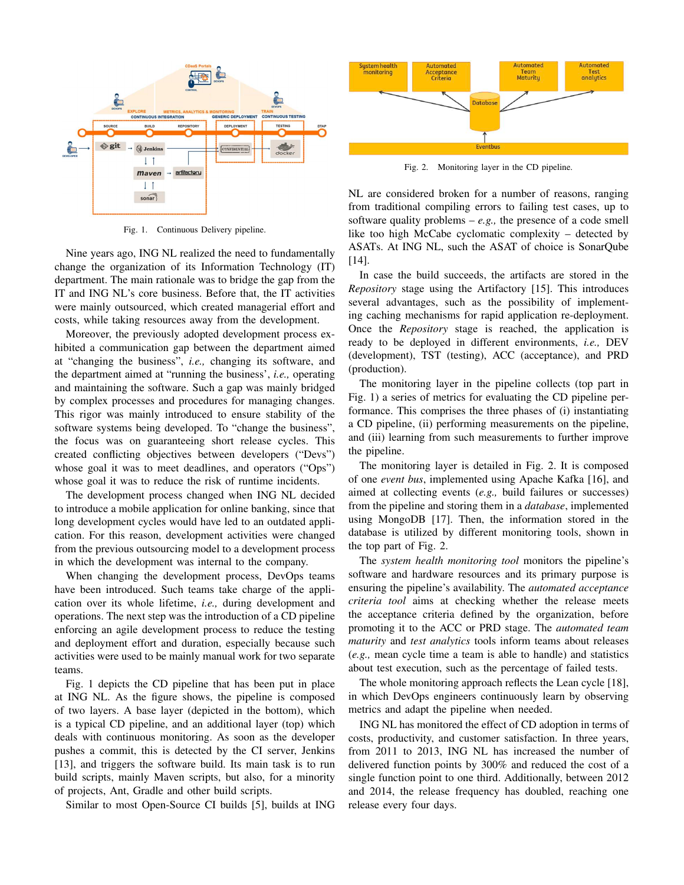

Fig. 1. Continuous Delivery pipeline.

Nine years ago, ING NL realized the need to fundamentally change the organization of its Information Technology (IT) department. The main rationale was to bridge the gap from the IT and ING NL's core business. Before that, the IT activities were mainly outsourced, which created managerial effort and costs, while taking resources away from the development.

Moreover, the previously adopted development process exhibited a communication gap between the department aimed at "changing the business", *i.e.,* changing its software, and the department aimed at "running the business', *i.e.,* operating and maintaining the software. Such a gap was mainly bridged by complex processes and procedures for managing changes. This rigor was mainly introduced to ensure stability of the software systems being developed. To "change the business", the focus was on guaranteeing short release cycles. This created conflicting objectives between developers ("Devs") whose goal it was to meet deadlines, and operators ("Ops") whose goal it was to reduce the risk of runtime incidents.

The development process changed when ING NL decided to introduce a mobile application for online banking, since that long development cycles would have led to an outdated application. For this reason, development activities were changed from the previous outsourcing model to a development process in which the development was internal to the company.

When changing the development process, DevOps teams have been introduced. Such teams take charge of the application over its whole lifetime, *i.e.,* during development and operations. The next step was the introduction of a CD pipeline enforcing an agile development process to reduce the testing and deployment effort and duration, especially because such activities were used to be mainly manual work for two separate teams.

Fig. 1 depicts the CD pipeline that has been put in place at ING NL. As the figure shows, the pipeline is composed of two layers. A base layer (depicted in the bottom), which is a typical CD pipeline, and an additional layer (top) which deals with continuous monitoring. As soon as the developer pushes a commit, this is detected by the CI server, Jenkins [13], and triggers the software build. Its main task is to run build scripts, mainly Maven scripts, but also, for a minority of projects, Ant, Gradle and other build scripts.

Similar to most Open-Source CI builds [5], builds at ING



Fig. 2. Monitoring layer in the CD pipeline.

NL are considered broken for a number of reasons, ranging from traditional compiling errors to failing test cases, up to software quality problems  $-e.g.,$  the presence of a code smell like too high McCabe cyclomatic complexity – detected by ASATs. At ING NL, such the ASAT of choice is SonarQube [14].

In case the build succeeds, the artifacts are stored in the *Repository* stage using the Artifactory [15]. This introduces several advantages, such as the possibility of implementing caching mechanisms for rapid application re-deployment. Once the *Repository* stage is reached, the application is ready to be deployed in different environments, *i.e.,* DEV (development), TST (testing), ACC (acceptance), and PRD (production).

The monitoring layer in the pipeline collects (top part in Fig. 1) a series of metrics for evaluating the CD pipeline performance. This comprises the three phases of (i) instantiating a CD pipeline, (ii) performing measurements on the pipeline, and (iii) learning from such measurements to further improve the pipeline.

The monitoring layer is detailed in Fig. 2. It is composed of one *event bus*, implemented using Apache Kafka [16], and aimed at collecting events (*e.g.,* build failures or successes) from the pipeline and storing them in a *database*, implemented using MongoDB [17]. Then, the information stored in the database is utilized by different monitoring tools, shown in the top part of Fig. 2.

The *system health monitoring tool* monitors the pipeline's software and hardware resources and its primary purpose is ensuring the pipeline's availability. The *automated acceptance criteria tool* aims at checking whether the release meets the acceptance criteria defined by the organization, before promoting it to the ACC or PRD stage. The *automated team maturity* and *test analytics* tools inform teams about releases (*e.g.,* mean cycle time a team is able to handle) and statistics about test execution, such as the percentage of failed tests.

The whole monitoring approach reflects the Lean cycle [18], in which DevOps engineers continuously learn by observing metrics and adapt the pipeline when needed.

ING NL has monitored the effect of CD adoption in terms of costs, productivity, and customer satisfaction. In three years, from 2011 to 2013, ING NL has increased the number of delivered function points by 300% and reduced the cost of a single function point to one third. Additionally, between 2012 and 2014, the release frequency has doubled, reaching one release every four days.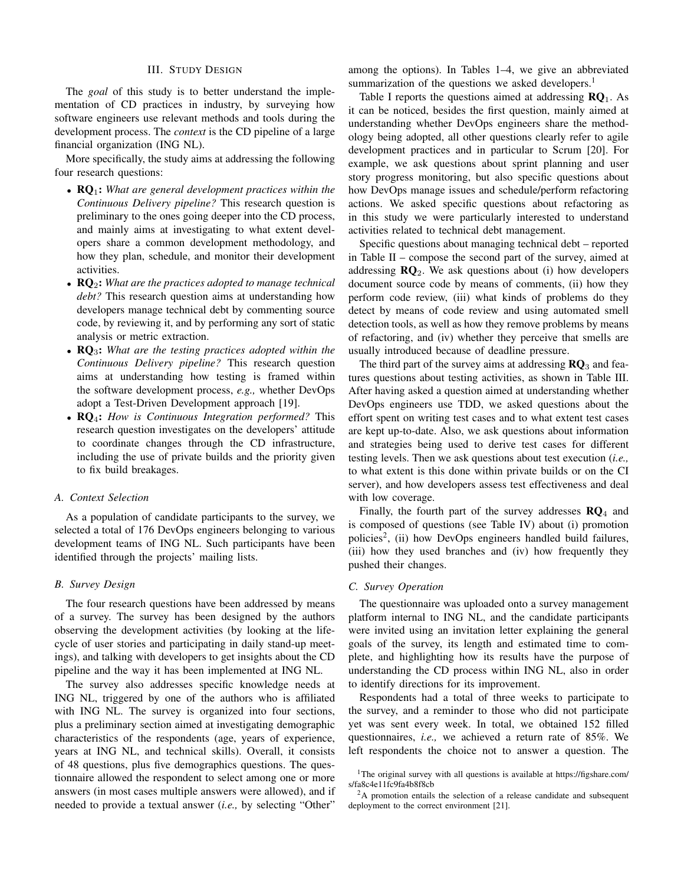#### III. STUDY DESIGN

The *goal* of this study is to better understand the implementation of CD practices in industry, by surveying how software engineers use relevant methods and tools during the development process. The *context* is the CD pipeline of a large financial organization (ING NL).

More specifically, the study aims at addressing the following four research questions:

- RQ1: *What are general development practices within the Continuous Delivery pipeline?* This research question is preliminary to the ones going deeper into the CD process, and mainly aims at investigating to what extent developers share a common development methodology, and how they plan, schedule, and monitor their development activities.
- RQ2: *What are the practices adopted to manage technical debt?* This research question aims at understanding how developers manage technical debt by commenting source code, by reviewing it, and by performing any sort of static analysis or metric extraction.
- RQ3: *What are the testing practices adopted within the Continuous Delivery pipeline?* This research question aims at understanding how testing is framed within the software development process, *e.g.,* whether DevOps adopt a Test-Driven Development approach [19].
- RQ4: *How is Continuous Integration performed?* This research question investigates on the developers' attitude to coordinate changes through the CD infrastructure, including the use of private builds and the priority given to fix build breakages.

#### *A. Context Selection*

As a population of candidate participants to the survey, we selected a total of 176 DevOps engineers belonging to various development teams of ING NL. Such participants have been identified through the projects' mailing lists.

# *B. Survey Design*

The four research questions have been addressed by means of a survey. The survey has been designed by the authors observing the development activities (by looking at the lifecycle of user stories and participating in daily stand-up meetings), and talking with developers to get insights about the CD pipeline and the way it has been implemented at ING NL.

The survey also addresses specific knowledge needs at ING NL, triggered by one of the authors who is affiliated with ING NL. The survey is organized into four sections, plus a preliminary section aimed at investigating demographic characteristics of the respondents (age, years of experience, years at ING NL, and technical skills). Overall, it consists of 48 questions, plus five demographics questions. The questionnaire allowed the respondent to select among one or more answers (in most cases multiple answers were allowed), and if needed to provide a textual answer (*i.e.,* by selecting "Other"

among the options). In Tables 1–4, we give an abbreviated summarization of the questions we asked developers.<sup>1</sup>

Table I reports the questions aimed at addressing  $\mathbb{R} \mathbb{Q}_1$ . As it can be noticed, besides the first question, mainly aimed at understanding whether DevOps engineers share the methodology being adopted, all other questions clearly refer to agile development practices and in particular to Scrum [20]. For example, we ask questions about sprint planning and user story progress monitoring, but also specific questions about how DevOps manage issues and schedule/perform refactoring actions. We asked specific questions about refactoring as in this study we were particularly interested to understand activities related to technical debt management.

Specific questions about managing technical debt – reported in Table II – compose the second part of the survey, aimed at addressing  $\mathbb{R}Q_2$ . We ask questions about (i) how developers document source code by means of comments, (ii) how they perform code review, (iii) what kinds of problems do they detect by means of code review and using automated smell detection tools, as well as how they remove problems by means of refactoring, and (iv) whether they perceive that smells are usually introduced because of deadline pressure.

The third part of the survey aims at addressing  $RQ_3$  and features questions about testing activities, as shown in Table III. After having asked a question aimed at understanding whether DevOps engineers use TDD, we asked questions about the effort spent on writing test cases and to what extent test cases are kept up-to-date. Also, we ask questions about information and strategies being used to derive test cases for different testing levels. Then we ask questions about test execution (*i.e.,* to what extent is this done within private builds or on the CI server), and how developers assess test effectiveness and deal with low coverage.

Finally, the fourth part of the survey addresses  $\mathbb{R}Q_4$  and is composed of questions (see Table IV) about (i) promotion policies<sup>2</sup>, (ii) how DevOps engineers handled build failures, (iii) how they used branches and (iv) how frequently they pushed their changes.

#### *C. Survey Operation*

The questionnaire was uploaded onto a survey management platform internal to ING NL, and the candidate participants were invited using an invitation letter explaining the general goals of the survey, its length and estimated time to complete, and highlighting how its results have the purpose of understanding the CD process within ING NL, also in order to identify directions for its improvement.

Respondents had a total of three weeks to participate to the survey, and a reminder to those who did not participate yet was sent every week. In total, we obtained 152 filled questionnaires, *i.e.,* we achieved a return rate of 85%. We left respondents the choice not to answer a question. The

<sup>&</sup>lt;sup>1</sup>The original survey with all questions is available at https://figshare.com/ s/fa8c4e11fc9fa4b8f8cb

<sup>&</sup>lt;sup>2</sup>A promotion entails the selection of a release candidate and subsequent deployment to the correct environment [21].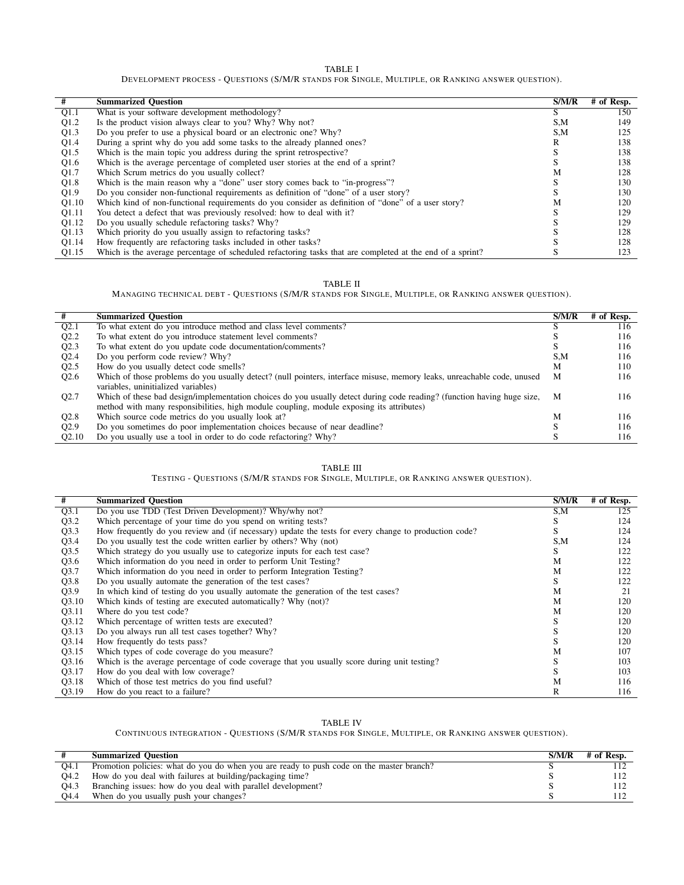TABLE I

DEVELOPMENT PROCESS - QUESTIONS (S/M/R STANDS FOR SINGLE, MULTIPLE, OR RANKING ANSWER QUESTION).

| #                 | <b>Summarized Ouestion</b>                                                                                | S/M/R | # of Resp. |
|-------------------|-----------------------------------------------------------------------------------------------------------|-------|------------|
| Q1.1              | What is your software development methodology?                                                            |       | 150        |
| Q1.2              | Is the product vision always clear to you? Why? Why not?                                                  | S.M   | 149        |
| Q1.3              | Do you prefer to use a physical board or an electronic one? Why?                                          | S,M   | 125        |
| Q1.4              | During a sprint why do you add some tasks to the already planned ones?                                    |       | 138        |
| Q1.5              | Which is the main topic you address during the sprint retrospective?                                      |       | 138        |
| Q1.6              | Which is the average percentage of completed user stories at the end of a sprint?                         |       | 138        |
| Q1.7              | Which Scrum metrics do you usually collect?                                                               | М     | 128        |
| Q1.8              | Which is the main reason why a "done" user story comes back to "in-progress"?                             |       | 130        |
| Q1.9              | Do you consider non-functional requirements as definition of "done" of a user story?                      |       | 130        |
| Q1.10             | Which kind of non-functional requirements do you consider as definition of "done" of a user story?        | м     | 120        |
| Q1.11             | You detect a defect that was previously resolved: how to deal with it?                                    |       | 129        |
| O <sub>1.12</sub> | Do you usually schedule refactoring tasks? Why?                                                           |       | 129        |
| O <sub>1.13</sub> | Which priority do you usually assign to refactoring tasks?                                                |       | 128        |
| O <sub>1.14</sub> | How frequently are refactoring tasks included in other tasks?                                             |       | 128        |
| Q1.15             | Which is the average percentage of scheduled refactoring tasks that are completed at the end of a sprint? |       | 123        |

# TABLE II

MANAGING TECHNICAL DEBT - QUESTIONS (S/M/R STANDS FOR SINGLE, MULTIPLE, OR RANKING ANSWER QUESTION).

|                   | <b>Summarized Ouestion</b>                                                                                              | S/M/R | # of Resp. |
|-------------------|-------------------------------------------------------------------------------------------------------------------------|-------|------------|
| Q2.1              | To what extent do you introduce method and class level comments?                                                        |       | 116        |
| Q2.2              | To what extent do you introduce statement level comments?                                                               |       | 116        |
| Q2.3              | To what extent do you update code documentation/comments?                                                               |       | 116        |
| O <sub>2.4</sub>  | Do you perform code review? Why?                                                                                        | S.M   | 116        |
| Q2.5              | How do you usually detect code smells?                                                                                  | M     | 110        |
| Q2.6              | Which of those problems do you usually detect? (null pointers, interface misuse, memory leaks, unreachable code, unused | M     | 116        |
|                   | variables, uninitialized variables)                                                                                     |       |            |
| O <sub>2.7</sub>  | Which of these bad design/implementation choices do you usually detect during code reading? (function having huge size, | M     | 116        |
|                   | method with many responsibilities, high module coupling, module exposing its attributes)                                |       |            |
| Q2.8              | Which source code metrics do you usually look at?                                                                       | М     | 116        |
| Q2.9              | Do you sometimes do poor implementation choices because of near deadline?                                               |       | 116        |
| Q <sub>2.10</sub> | Do you usually use a tool in order to do code refactoring? Why?                                                         |       | 116        |

# TABLE III

TESTING - QUESTIONS (S/M/R STANDS FOR SINGLE, MULTIPLE, OR RANKING ANSWER QUESTION).

| #     | <b>Summarized Question</b>                                                                            | S/M/R | # of Resp. |
|-------|-------------------------------------------------------------------------------------------------------|-------|------------|
| Q3.1  | Do you use TDD (Test Driven Development)? Why/why not?                                                | S,M   | 125        |
| Q3.2  | Which percentage of your time do you spend on writing tests?                                          | S     | 124        |
| Q3.3  | How frequently do you review and (if necessary) update the tests for every change to production code? |       | 124        |
| Q3.4  | Do you usually test the code written earlier by others? Why (not)                                     | S,M   | 124        |
| Q3.5  | Which strategy do you usually use to categorize inputs for each test case?                            | S.    | 122        |
| Q3.6  | Which information do you need in order to perform Unit Testing?                                       | М     | 122        |
| Q3.7  | Which information do you need in order to perform Integration Testing?                                | М     | 122        |
| Q3.8  | Do you usually automate the generation of the test cases?                                             | N.    | 122        |
| Q3.9  | In which kind of testing do you usually automate the generation of the test cases?                    | М     | 21         |
| Q3.10 | Which kinds of testing are executed automatically? Why (not)?                                         | M     | 120        |
| Q3.11 | Where do you test code?                                                                               | M     | 120        |
| Q3.12 | Which percentage of written tests are executed?                                                       | S     | 120        |
| Q3.13 | Do you always run all test cases together? Why?                                                       | S.    | 120        |
| Q3.14 | How frequently do tests pass?                                                                         |       | 120        |
| Q3.15 | Which types of code coverage do you measure?                                                          | М     | 107        |
| Q3.16 | Which is the average percentage of code coverage that you usually score during unit testing?          | э.    | 103        |
| Q3.17 | How do you deal with low coverage?                                                                    |       | 103        |
| Q3.18 | Which of those test metrics do you find useful?                                                       | M     | 116        |
| Q3.19 | How do you react to a failure?                                                                        | R     | 116        |

#### TABLE IV

CONTINUOUS INTEGRATION - QUESTIONS (S/M/R STANDS FOR SINGLE, MULTIPLE, OR RANKING ANSWER QUESTION).

|      | <b>Summarized Ouestion</b>                                                               | S/M/R | # of Resp. |
|------|------------------------------------------------------------------------------------------|-------|------------|
| O4.1 | Promotion policies: what do you do when you are ready to push code on the master branch? |       |            |
| O4.2 | How do you deal with failures at building/packaging time?                                |       |            |
| O4.3 | Branching issues: how do you deal with parallel development?                             |       |            |
| O4.4 | When do you usually push your changes?                                                   |       |            |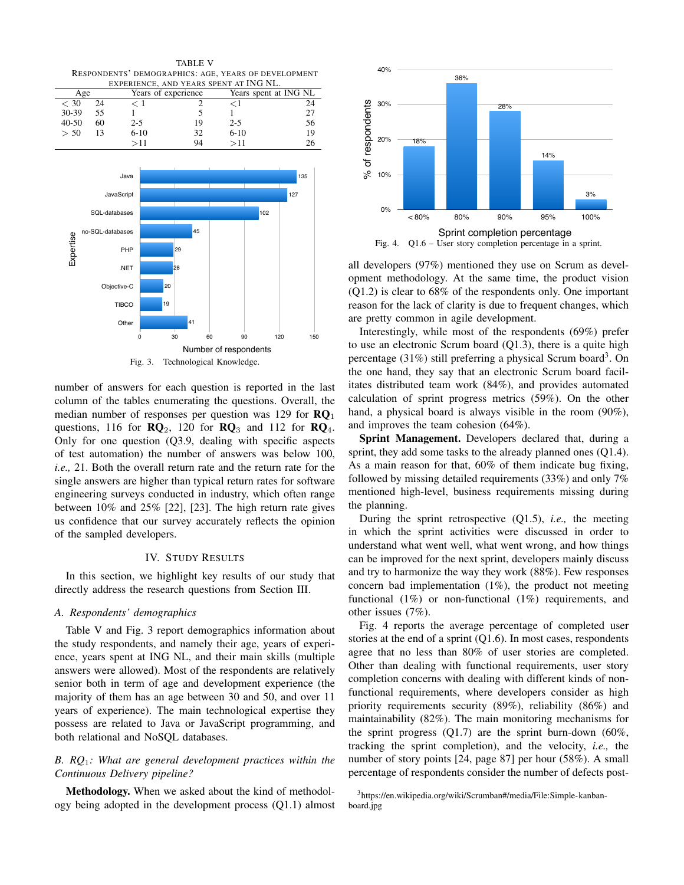TABLE V RESPONDENTS' DEMOGRAPHICS: AGE, YEARS OF DEVELOPMENT EXPERIENCE, AND YEARS SPENT AT ING NL. Age Years of experience Years spent at ING NL  $\lt 30$  24  $\lt 1$  2  $\lt 1$  24 30-39 55 1 5 1 27 40-50 60 2-5 19 2-5 56  $> 50$  13 6-10 32 6-10 19  $>11$  94  $>11$  26 Expertise Java JavaScript SQL-databases no-SQL-databases PHP 29 45 102 127 135

number of answers for each question is reported in the last column of the tables enumerating the questions. Overall, the median number of responses per question was 129 for  $\mathbb{R}Q_1$ questions, 116 for  $\mathbb{R}Q_2$ , 120 for  $\mathbb{R}Q_3$  and 112 for  $\mathbb{R}Q_4$ . Only for one question (Q3.9, dealing with specific aspects of test automation) the number of answers was below 100, *i.e.,* 21. Both the overall return rate and the return rate for the single answers are higher than typical return rates for software engineering surveys conducted in industry, which often range between 10% and 25% [22], [23]. The high return rate gives us confidence that our survey accurately reflects the opinion of the sampled developers.

41

Fig. 3. Technological Knowledge.

19 20 28

Number of respondents 0 30 60 90 120 150

# IV. STUDY RESULTS

In this section, we highlight key results of our study that directly address the research questions from Section III.

#### *A. Respondents' demographics*

.NET Objective-C TIBCO **Other** 

Table V and Fig. 3 report demographics information about the study respondents, and namely their age, years of experience, years spent at ING NL, and their main skills (multiple answers were allowed). Most of the respondents are relatively senior both in term of age and development experience (the majority of them has an age between 30 and 50, and over 11 years of experience). The main technological expertise they possess are related to Java or JavaScript programming, and both relational and NoSQL databases.

# *B. RQ*1*: What are general development practices within the Continuous Delivery pipeline?*

Methodology. When we asked about the kind of methodology being adopted in the development process (Q1.1) almost



all developers (97%) mentioned they use on Scrum as development methodology. At the same time, the product vision (Q1.2) is clear to 68% of the respondents only. One important reason for the lack of clarity is due to frequent changes, which are pretty common in agile development.

Interestingly, while most of the respondents (69%) prefer to use an electronic Scrum board (Q1.3), there is a quite high percentage (31%) still preferring a physical Scrum board<sup>3</sup>. On the one hand, they say that an electronic Scrum board facilitates distributed team work (84%), and provides automated calculation of sprint progress metrics (59%). On the other hand, a physical board is always visible in the room  $(90\%)$ , and improves the team cohesion (64%).

Sprint Management. Developers declared that, during a sprint, they add some tasks to the already planned ones  $(Q1.4)$ . As a main reason for that, 60% of them indicate bug fixing, followed by missing detailed requirements (33%) and only 7% mentioned high-level, business requirements missing during the planning.

During the sprint retrospective (Q1.5), *i.e.,* the meeting in which the sprint activities were discussed in order to understand what went well, what went wrong, and how things can be improved for the next sprint, developers mainly discuss and try to harmonize the way they work (88%). Few responses concern bad implementation (1%), the product not meeting functional (1%) or non-functional (1%) requirements, and other issues (7%).

Fig. 4 reports the average percentage of completed user stories at the end of a sprint (Q1.6). In most cases, respondents agree that no less than 80% of user stories are completed. Other than dealing with functional requirements, user story completion concerns with dealing with different kinds of nonfunctional requirements, where developers consider as high priority requirements security (89%), reliability (86%) and maintainability (82%). The main monitoring mechanisms for the sprint progress  $(Q1.7)$  are the sprint burn-down  $(60\%,$ tracking the sprint completion), and the velocity, *i.e.,* the number of story points [24, page 87] per hour (58%). A small percentage of respondents consider the number of defects post-

<sup>3</sup>https://en.wikipedia.org/wiki/Scrumban#/media/File:Simple-kanbanboard.jpg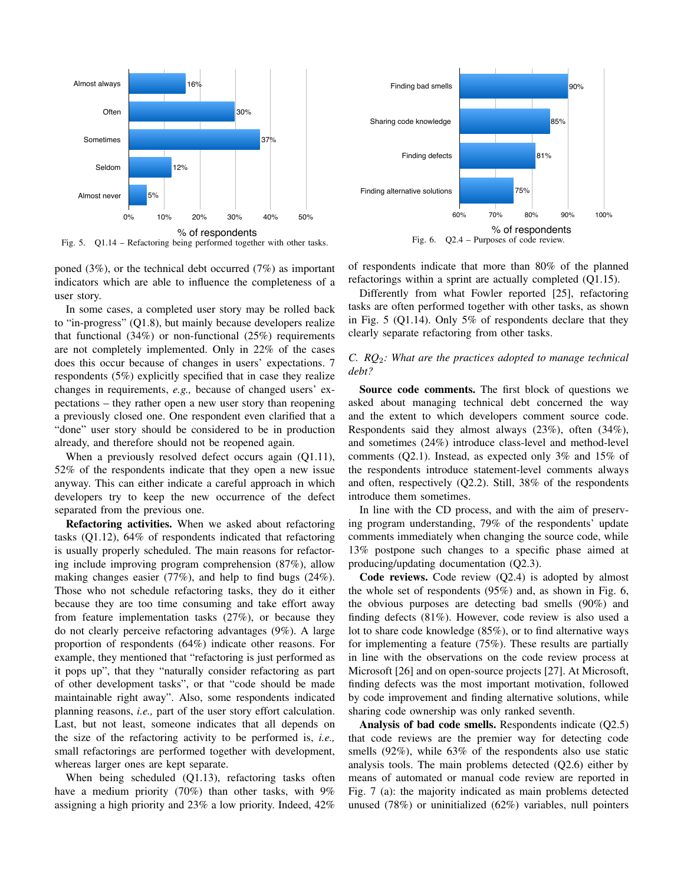

Fig. 5. Q1.14 – Refactoring being performed together with other tasks.

poned (3%), or the technical debt occurred (7%) as important indicators which are able to influence the completeness of a user story.

In some cases, a completed user story may be rolled back to "in-progress" (Q1.8), but mainly because developers realize that functional  $(34%)$  or non-functional  $(25%)$  requirements are not completely implemented. Only in 22% of the cases does this occur because of changes in users' expectations. 7 respondents (5%) explicitly specified that in case they realize changes in requirements, *e.g.,* because of changed users' expectations – they rather open a new user story than reopening a previously closed one. One respondent even clarified that a "done" user story should be considered to be in production already, and therefore should not be reopened again.

When a previously resolved defect occurs again (Q1.11), 52% of the respondents indicate that they open a new issue anyway. This can either indicate a careful approach in which developers try to keep the new occurrence of the defect separated from the previous one.

Refactoring activities. When we asked about refactoring tasks (Q1.12), 64% of respondents indicated that refactoring is usually properly scheduled. The main reasons for refactoring include improving program comprehension (87%), allow making changes easier (77%), and help to find bugs (24%). Those who not schedule refactoring tasks, they do it either because they are too time consuming and take effort away from feature implementation tasks (27%), or because they do not clearly perceive refactoring advantages (9%). A large proportion of respondents (64%) indicate other reasons. For example, they mentioned that "refactoring is just performed as it pops up", that they "naturally consider refactoring as part of other development tasks", or that "code should be made maintainable right away". Also, some respondents indicated planning reasons, *i.e.,* part of the user story effort calculation. Last, but not least, someone indicates that all depends on the size of the refactoring activity to be performed is, *i.e.,* small refactorings are performed together with development, whereas larger ones are kept separate.

When being scheduled (Q1.13), refactoring tasks often have a medium priority (70%) than other tasks, with 9% assigning a high priority and 23% a low priority. Indeed, 42%





of respondents indicate that more than 80% of the planned refactorings within a sprint are actually completed (Q1.15).

Differently from what Fowler reported [25], refactoring tasks are often performed together with other tasks, as shown in Fig. 5 (Q1.14). Only 5% of respondents declare that they clearly separate refactoring from other tasks.

# *C. RQ*2*: What are the practices adopted to manage technical debt?*

Source code comments. The first block of questions we asked about managing technical debt concerned the way and the extent to which developers comment source code. Respondents said they almost always (23%), often (34%), and sometimes (24%) introduce class-level and method-level comments (Q2.1). Instead, as expected only 3% and 15% of the respondents introduce statement-level comments always and often, respectively (Q2.2). Still, 38% of the respondents introduce them sometimes.

In line with the CD process, and with the aim of preserving program understanding, 79% of the respondents' update comments immediately when changing the source code, while 13% postpone such changes to a specific phase aimed at producing/updating documentation (Q2.3).

Code reviews. Code review (Q2.4) is adopted by almost the whole set of respondents (95%) and, as shown in Fig. 6, the obvious purposes are detecting bad smells (90%) and finding defects (81%). However, code review is also used a lot to share code knowledge (85%), or to find alternative ways for implementing a feature (75%). These results are partially in line with the observations on the code review process at Microsoft [26] and on open-source projects [27]. At Microsoft, finding defects was the most important motivation, followed by code improvement and finding alternative solutions, while sharing code ownership was only ranked seventh.

Analysis of bad code smells. Respondents indicate (Q2.5) that code reviews are the premier way for detecting code smells (92%), while 63% of the respondents also use static analysis tools. The main problems detected (Q2.6) either by means of automated or manual code review are reported in Fig. 7 (a): the majority indicated as main problems detected unused (78%) or uninitialized (62%) variables, null pointers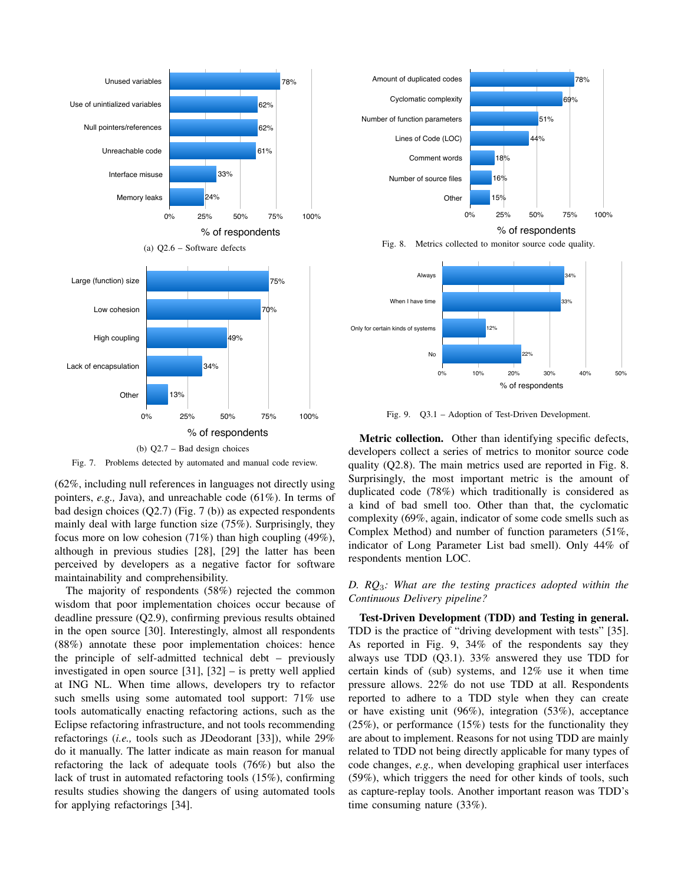

Fig. 7. Problems detected by automated and manual code review.

(62%, including null references in languages not directly using pointers, *e.g.,* Java), and unreachable code (61%). In terms of bad design choices (Q2.7) (Fig. 7 (b)) as expected respondents mainly deal with large function size (75%). Surprisingly, they focus more on low cohesion  $(71\%)$  than high coupling  $(49\%)$ , although in previous studies [28], [29] the latter has been perceived by developers as a negative factor for software maintainability and comprehensibility.

The majority of respondents (58%) rejected the common wisdom that poor implementation choices occur because of deadline pressure (Q2.9), confirming previous results obtained in the open source [30]. Interestingly, almost all respondents (88%) annotate these poor implementation choices: hence the principle of self-admitted technical debt – previously investigated in open source [31], [32] – is pretty well applied at ING NL. When time allows, developers try to refactor such smells using some automated tool support: 71% use tools automatically enacting refactoring actions, such as the Eclipse refactoring infrastructure, and not tools recommending refactorings (*i.e.,* tools such as JDeodorant [33]), while 29% do it manually. The latter indicate as main reason for manual refactoring the lack of adequate tools (76%) but also the lack of trust in automated refactoring tools (15%), confirming results studies showing the dangers of using automated tools for applying refactorings [34].



% of respondents

Fig. 8. Metrics collected to monitor source code quality.



Fig. 9. Q3.1 – Adoption of Test-Driven Development.

Metric collection. Other than identifying specific defects, developers collect a series of metrics to monitor source code quality (Q2.8). The main metrics used are reported in Fig. 8. Surprisingly, the most important metric is the amount of duplicated code (78%) which traditionally is considered as a kind of bad smell too. Other than that, the cyclomatic complexity (69%, again, indicator of some code smells such as Complex Method) and number of function parameters (51%, indicator of Long Parameter List bad smell). Only 44% of respondents mention LOC.

*D. RQ*3*: What are the testing practices adopted within the Continuous Delivery pipeline?*

Test-Driven Development (TDD) and Testing in general. TDD is the practice of "driving development with tests" [35]. As reported in Fig. 9, 34% of the respondents say they always use TDD (Q3.1). 33% answered they use TDD for certain kinds of (sub) systems, and 12% use it when time pressure allows. 22% do not use TDD at all. Respondents reported to adhere to a TDD style when they can create or have existing unit (96%), integration (53%), acceptance (25%), or performance (15%) tests for the functionality they are about to implement. Reasons for not using TDD are mainly related to TDD not being directly applicable for many types of code changes, *e.g.,* when developing graphical user interfaces (59%), which triggers the need for other kinds of tools, such as capture-replay tools. Another important reason was TDD's time consuming nature (33%).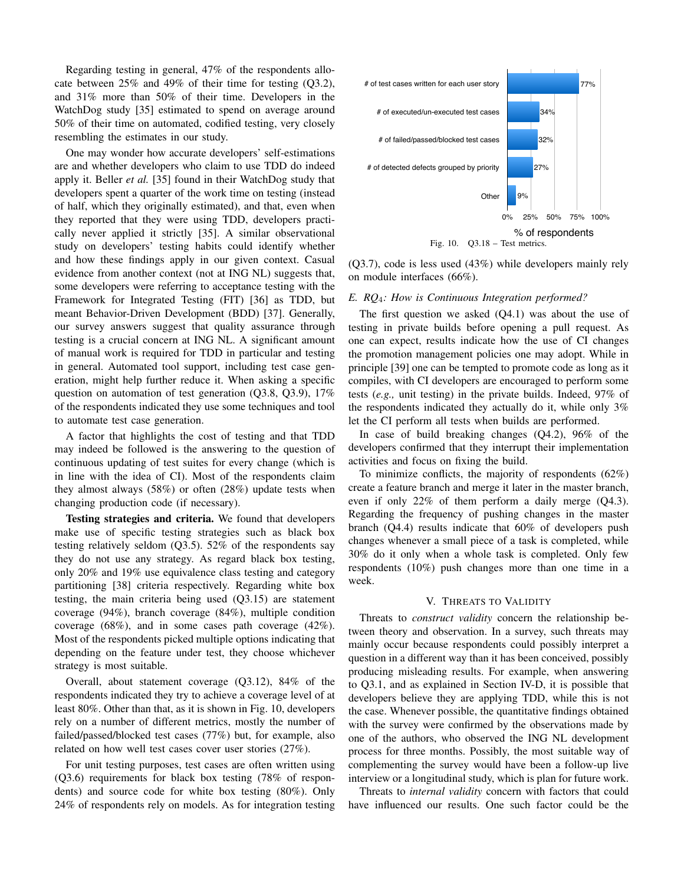Regarding testing in general, 47% of the respondents allocate between 25% and 49% of their time for testing (Q3.2), and 31% more than 50% of their time. Developers in the WatchDog study [35] estimated to spend on average around 50% of their time on automated, codified testing, very closely resembling the estimates in our study.

One may wonder how accurate developers' self-estimations are and whether developers who claim to use TDD do indeed apply it. Beller *et al.* [35] found in their WatchDog study that developers spent a quarter of the work time on testing (instead of half, which they originally estimated), and that, even when they reported that they were using TDD, developers practically never applied it strictly [35]. A similar observational study on developers' testing habits could identify whether and how these findings apply in our given context. Casual evidence from another context (not at ING NL) suggests that, some developers were referring to acceptance testing with the Framework for Integrated Testing (FIT) [36] as TDD, but meant Behavior-Driven Development (BDD) [37]. Generally, our survey answers suggest that quality assurance through testing is a crucial concern at ING NL. A significant amount of manual work is required for TDD in particular and testing in general. Automated tool support, including test case generation, might help further reduce it. When asking a specific question on automation of test generation (Q3.8, Q3.9), 17% of the respondents indicated they use some techniques and tool to automate test case generation.

A factor that highlights the cost of testing and that TDD may indeed be followed is the answering to the question of continuous updating of test suites for every change (which is in line with the idea of CI). Most of the respondents claim they almost always (58%) or often (28%) update tests when changing production code (if necessary).

Testing strategies and criteria. We found that developers make use of specific testing strategies such as black box testing relatively seldom (Q3.5). 52% of the respondents say they do not use any strategy. As regard black box testing, only 20% and 19% use equivalence class testing and category partitioning [38] criteria respectively. Regarding white box testing, the main criteria being used (Q3.15) are statement coverage (94%), branch coverage (84%), multiple condition coverage (68%), and in some cases path coverage (42%). Most of the respondents picked multiple options indicating that depending on the feature under test, they choose whichever strategy is most suitable.

Overall, about statement coverage (Q3.12), 84% of the respondents indicated they try to achieve a coverage level of at least 80%. Other than that, as it is shown in Fig. 10, developers rely on a number of different metrics, mostly the number of failed/passed/blocked test cases (77%) but, for example, also related on how well test cases cover user stories (27%).

For unit testing purposes, test cases are often written using (Q3.6) requirements for black box testing (78% of respondents) and source code for white box testing (80%). Only 24% of respondents rely on models. As for integration testing



(Q3.7), code is less used (43%) while developers mainly rely on module interfaces (66%).

## *E. RQ*4*: How is Continuous Integration performed?*

The first question we asked  $(Q4.1)$  was about the use of testing in private builds before opening a pull request. As one can expect, results indicate how the use of CI changes the promotion management policies one may adopt. While in principle [39] one can be tempted to promote code as long as it compiles, with CI developers are encouraged to perform some tests (*e.g.,* unit testing) in the private builds. Indeed, 97% of the respondents indicated they actually do it, while only 3% let the CI perform all tests when builds are performed.

In case of build breaking changes (Q4.2), 96% of the developers confirmed that they interrupt their implementation activities and focus on fixing the build.

To minimize conflicts, the majority of respondents (62%) create a feature branch and merge it later in the master branch, even if only 22% of them perform a daily merge (Q4.3). Regarding the frequency of pushing changes in the master branch (Q4.4) results indicate that 60% of developers push changes whenever a small piece of a task is completed, while 30% do it only when a whole task is completed. Only few respondents (10%) push changes more than one time in a week.

#### V. THREATS TO VALIDITY

Threats to *construct validity* concern the relationship between theory and observation. In a survey, such threats may mainly occur because respondents could possibly interpret a question in a different way than it has been conceived, possibly producing misleading results. For example, when answering to Q3.1, and as explained in Section IV-D, it is possible that developers believe they are applying TDD, while this is not the case. Whenever possible, the quantitative findings obtained with the survey were confirmed by the observations made by one of the authors, who observed the ING NL development process for three months. Possibly, the most suitable way of complementing the survey would have been a follow-up live interview or a longitudinal study, which is plan for future work.

Threats to *internal validity* concern with factors that could have influenced our results. One such factor could be the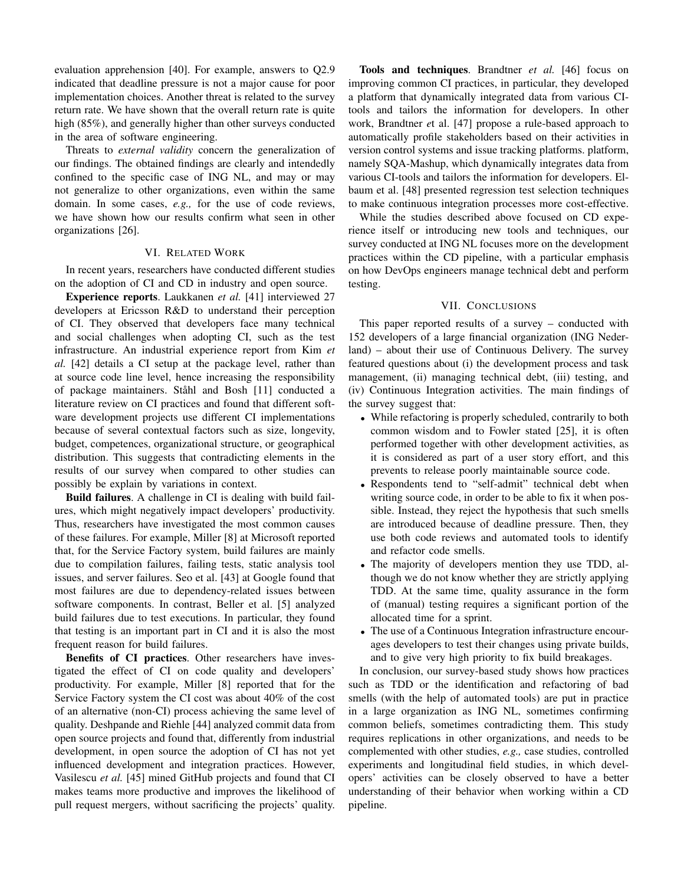evaluation apprehension [40]. For example, answers to Q2.9 indicated that deadline pressure is not a major cause for poor implementation choices. Another threat is related to the survey return rate. We have shown that the overall return rate is quite high (85%), and generally higher than other surveys conducted in the area of software engineering.

Threats to *external validity* concern the generalization of our findings. The obtained findings are clearly and intendedly confined to the specific case of ING NL, and may or may not generalize to other organizations, even within the same domain. In some cases, *e.g.,* for the use of code reviews, we have shown how our results confirm what seen in other organizations [26].

# VI. RELATED WORK

In recent years, researchers have conducted different studies on the adoption of CI and CD in industry and open source.

Experience reports. Laukkanen *et al.* [41] interviewed 27 developers at Ericsson R&D to understand their perception of CI. They observed that developers face many technical and social challenges when adopting CI, such as the test infrastructure. An industrial experience report from Kim *et al.* [42] details a CI setup at the package level, rather than at source code line level, hence increasing the responsibility of package maintainers. Ståhl and Bosh [11] conducted a literature review on CI practices and found that different software development projects use different CI implementations because of several contextual factors such as size, longevity, budget, competences, organizational structure, or geographical distribution. This suggests that contradicting elements in the results of our survey when compared to other studies can possibly be explain by variations in context.

Build failures. A challenge in CI is dealing with build failures, which might negatively impact developers' productivity. Thus, researchers have investigated the most common causes of these failures. For example, Miller [8] at Microsoft reported that, for the Service Factory system, build failures are mainly due to compilation failures, failing tests, static analysis tool issues, and server failures. Seo et al. [43] at Google found that most failures are due to dependency-related issues between software components. In contrast, Beller et al. [5] analyzed build failures due to test executions. In particular, they found that testing is an important part in CI and it is also the most frequent reason for build failures.

Benefits of CI practices. Other researchers have investigated the effect of CI on code quality and developers' productivity. For example, Miller [8] reported that for the Service Factory system the CI cost was about 40% of the cost of an alternative (non-CI) process achieving the same level of quality. Deshpande and Riehle [44] analyzed commit data from open source projects and found that, differently from industrial development, in open source the adoption of CI has not yet influenced development and integration practices. However, Vasilescu *et al.* [45] mined GitHub projects and found that CI makes teams more productive and improves the likelihood of pull request mergers, without sacrificing the projects' quality.

Tools and techniques. Brandtner *et al.* [46] focus on improving common CI practices, in particular, they developed a platform that dynamically integrated data from various CItools and tailors the information for developers. In other work, Brandtner *e*t al. [47] propose a rule-based approach to automatically profile stakeholders based on their activities in version control systems and issue tracking platforms. platform, namely SQA-Mashup, which dynamically integrates data from various CI-tools and tailors the information for developers. Elbaum et al. [48] presented regression test selection techniques to make continuous integration processes more cost-effective.

While the studies described above focused on CD experience itself or introducing new tools and techniques, our survey conducted at ING NL focuses more on the development practices within the CD pipeline, with a particular emphasis on how DevOps engineers manage technical debt and perform testing.

# VII. CONCLUSIONS

This paper reported results of a survey – conducted with 152 developers of a large financial organization (ING Nederland) – about their use of Continuous Delivery. The survey featured questions about (i) the development process and task management, (ii) managing technical debt, (iii) testing, and (iv) Continuous Integration activities. The main findings of the survey suggest that:

- While refactoring is properly scheduled, contrarily to both common wisdom and to Fowler stated [25], it is often performed together with other development activities, as it is considered as part of a user story effort, and this prevents to release poorly maintainable source code.
- Respondents tend to "self-admit" technical debt when writing source code, in order to be able to fix it when possible. Instead, they reject the hypothesis that such smells are introduced because of deadline pressure. Then, they use both code reviews and automated tools to identify and refactor code smells.
- The majority of developers mention they use TDD, although we do not know whether they are strictly applying TDD. At the same time, quality assurance in the form of (manual) testing requires a significant portion of the allocated time for a sprint.
- The use of a Continuous Integration infrastructure encourages developers to test their changes using private builds, and to give very high priority to fix build breakages.

In conclusion, our survey-based study shows how practices such as TDD or the identification and refactoring of bad smells (with the help of automated tools) are put in practice in a large organization as ING NL, sometimes confirming common beliefs, sometimes contradicting them. This study requires replications in other organizations, and needs to be complemented with other studies, *e.g.,* case studies, controlled experiments and longitudinal field studies, in which developers' activities can be closely observed to have a better understanding of their behavior when working within a CD pipeline.